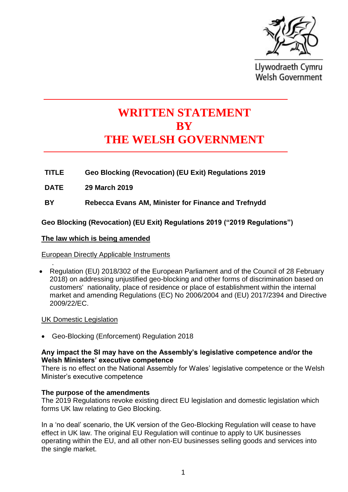

Llywodraeth Cymru **Welsh Government** 

# **WRITTEN STATEMENT BY THE WELSH GOVERNMENT**

**TITLE Geo Blocking (Revocation) (EU Exit) Regulations 2019**

**DATE 29 March 2019**

**BY Rebecca Evans AM, Minister for Finance and Trefnydd**

**Geo Blocking (Revocation) (EU Exit) Regulations 2019 ("2019 Regulations")**

# **The law which is being amended**

European Directly Applicable Instruments

. • Regulation (EU) 2018/302 of the European Parliament and of the Council of 28 February 2018) on addressing unjustified geo-blocking and other forms of discrimination based on customers' nationality, place of residence or place of establishment within the internal market and amending Regulations (EC) No 2006/2004 and (EU) 2017/2394 and Directive 2009/22/EC.

UK Domestic Legislation

• Geo-Blocking (Enforcement) Regulation 2018

### **Any impact the SI may have on the Assembly's legislative competence and/or the Welsh Ministers' executive competence**

There is no effect on the National Assembly for Wales' legislative competence or the Welsh Minister's executive competence

# **The purpose of the amendments**

The 2019 Regulations revoke existing direct EU legislation and domestic legislation which forms UK law relating to Geo Blocking.

In a 'no deal' scenario, the UK version of the Geo-Blocking Regulation will cease to have effect in UK law. The original EU Regulation will continue to apply to UK businesses operating within the EU, and all other non-EU businesses selling goods and services into the single market.